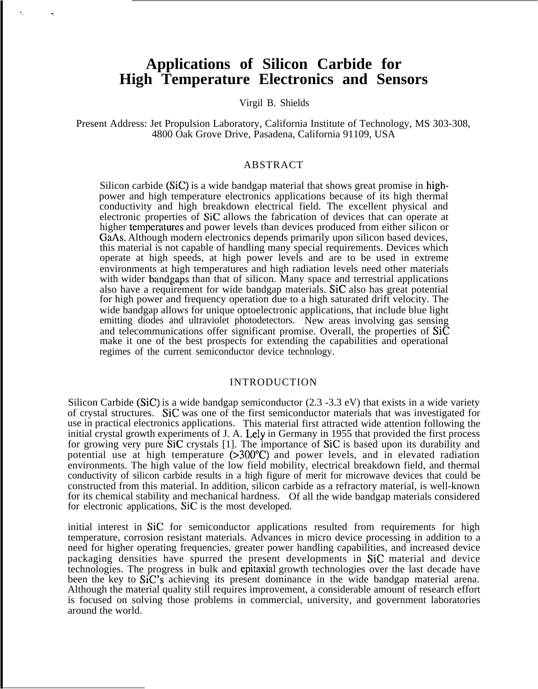# **Applications of Silicon Carbide for High Temperature Electronics and Sensors**

Virgil B. Shields

Present Address: Jet Propulsion Laboratory, California Institute of Technology, MS 303-308, 4800 Oak Grove Drive, Pasadena, California 91109, USA

## ABSTRACT

Silicon carbide (SiC) is a wide bandgap material that shows great promise in highpower and high temperature electronics applications because of its high thermal conductivity and high breakdown electrical field. The excellent physical and electronic properties of SiC allows the fabrication of devices that can operate at higher temperatures and power levels than devices produced from either silicon or GaAs. Although modern electronics depends primarily upon silicon based devices, this material is not capable of handling many special requirements. Devices which operate at high speeds, at high power levels and are to be used in extreme environments at high temperatures and high radiation levels need other materials with wider bandgaps than that of silicon. Many space and terrestrial applications also have a requirement for wide bandgap materials. SiC also has great potential for high power and frequency operation due to a high saturated drift velocity. The wide bandgap allows for unique optoelectronic applications, that include blue light emitting diodes and ultraviolet photodetectors. New areas involving gas sensing and telecommunications offer significant promise. Overall, the properties of SiC make it one of the best prospects for extending the capabilities and operational regimes of the current semiconductor device technology.

## INTRODUCTION

Silicon Carbide (SiC) is a wide bandgap semiconductor (2.3 -3.3 eV) that exists in a wide variety of crystal structures. SiC was one of the first semiconductor materials that was investigated for use in practical electronics applications. This material first attracted wide attention following the initial crystal growth experiments of J. A. Lely in Germany in 1955 that provided the first process for growing very pure SiC crystals [1]. The importance of SiC is based upon its durability and potential use at high temperature (>300°C) and power levels, and in elevated radiation environments. The high value of the low field mobility, electrical breakdown field, and thermal conductivity of silicon carbide results in a high figure of merit for microwave devices that could be constructed from this material. In addition, silicon carbide as a refractory material, is well-known for its chemical stability and mechanical hardness. Of all the wide bandgap materials considered for electronic applications, SiC is the most developed.

initial interest in SiC for semiconductor applications resulted from requirements for high temperature, corrosion resistant materials. Advances in micro device processing in addition to a need for higher operating frequencies, greater power handling capabilities, and increased device packaging densities have spurred the present developments in SiC material and device technologies. The progress in bulk and epitaxial growth technologies over the last decade have been the key to SiC's achieving its present dominance in the wide bandgap material arena. Although the material quality still requires improvement, a considerable amount of research effort is focused on solving those problems in commercial, university, and government laboratories around the world.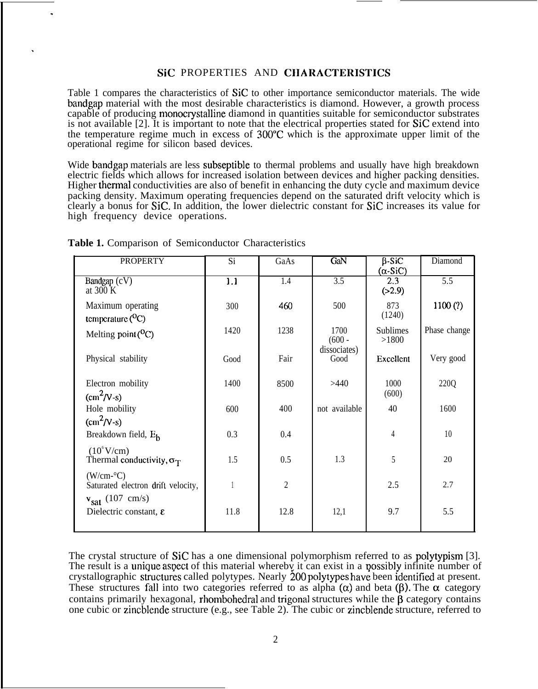## SIC PROPERTIES AND CHARACTERISTICS

Table 1 compares the characteristics of SiC to other importance semiconductor materials. The wide bandgap material with the most desirable characteristics is diamond. However, a growth process capable of producing monocrystalline diamond in quantities suitable for semiconductor substrates is not available [2]. It is important to note that the electrical properties stated for SiC extend into the temperature regime much in excess of 300'C which is the approximate upper limit of the operational regime for silicon based devices.

Wide bandgap materials are less subseptible to thermal problems and usually have high breakdown electric fields which allows for increased isolation between devices and higher packing densities. Higher thermal conductivities are also of benefit in enhancing the duty cycle and maximum device packing density. Maximum operating frequencies depend on the saturated drift velocity which is clearly a bonus for SiC. In addition, the lower dielectric constant for SiC increases its value for high frequency device operations.

| <b>PROPERTY</b>                                         | Si   | GaAs           | GaN                  | $\beta$ -SiC<br>$(\alpha$ -SiC) | Diamond          |
|---------------------------------------------------------|------|----------------|----------------------|---------------------------------|------------------|
| Bandgap $(cV)$<br>at $300 K$                            | 1.1  | 1.4            | 3.5                  | 2.3<br>(>2.9)                   | $\overline{5.5}$ |
| Maximum operating<br>temperature $(^0C)$                | 300  | 460            | 500                  | 873<br>(1240)                   | 1100(?)          |
| Melting point $(^0C)$                                   | 1420 | 1238           | 1700<br>$(600 -$     | <b>Sublimes</b><br>>1800        | Phase change     |
| Physical stability                                      | Good | Fair           | dissociates)<br>Good | Excellent                       | Very good        |
| Electron mobility<br>$\text{(cm}^2/\text{V-s)}$         | 1400 | 8500           | >440                 | 1000<br>(600)                   | 220Q             |
| Hole mobility<br>$\text{(cm}^2/\text{V-s)}$             | 600  | 400            | not available        | 40                              | 1600             |
| Breakdown field, E <sub>h</sub>                         | 0.3  | 0.4            |                      | 4                               | 10               |
| $(10^6$ V/cm)<br>Thermal conductivity, $\sigma_T$       | 1.5  | 0.5            | 1.3                  | 5                               | 20               |
| $(W/cm-C)$<br>Saturated electron drift velocity,        |      | $\overline{2}$ |                      | 2.5                             | 2.7              |
| $v_{sat}$ (107 cm/s)<br>Dielectric constant, $\epsilon$ | 11.8 | 12.8           | 12,1                 | 9.7                             | 5.5              |
|                                                         |      |                |                      |                                 |                  |

**Table 1.** Comparison of Semiconductor Characteristics

.

.

The crystal structure of SiC has a one dimensional polymorphism referred to as polytypism [3]. The result is a unique aspect of this material whereby it can exist in a possibly infinite number of crystallographic structures called polytypes. Nearly 200 polytypes have been identified at present. These structures fall into two categories referred to as alpha  $(\alpha)$  and beta  $(\beta)$ . The  $\alpha$  category contains primarily hexagonal, rhombohedral and trigonal structures while the  $\beta$  category contains one cubic or zincblende structure (e.g., see Table 2). The cubic or zincblende structure, referred to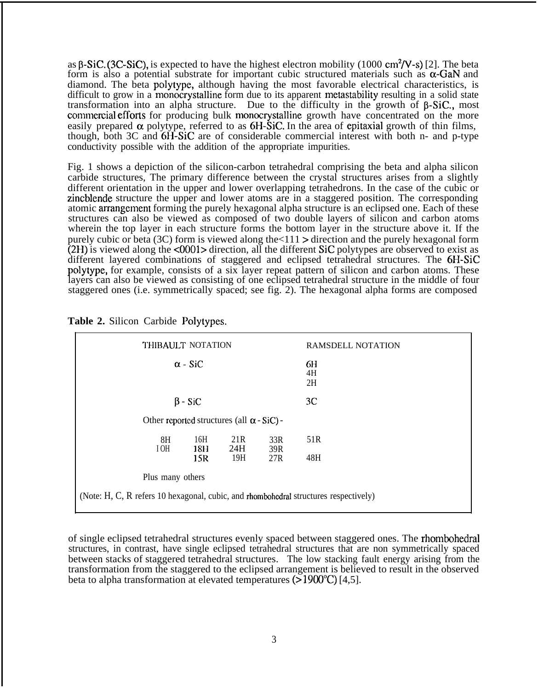as  $\beta$ -SiC. (3C-SiC), is expected to have the highest electron mobility (1000 cm<sup>2</sup>/V-s) [2]. The beta form is also a potential substrate for important cubic structured materials such as  $\alpha$ -GaN and diamond. The beta polytype, although having the most favorable electrical characteristics, is difficult to grow in a monocrystalline form due to its apparent metastability resulting in a solid state transformation into an alpha structure. Due to the difficulty in the growth of  $\beta$ -SiC., most commercial efforts for producing bulk monocrystalline growth have concentrated on the more easily prepared  $\alpha$  polytype, referred to as 6H-SiC. In the area of epitaxial growth of thin films, though, both 3C and 6H-SiC are of considerable commercial interest with both n- and p-type conductivity possible with the addition of the appropriate impurities.

Fig. 1 shows a depiction of the silicon-carbon tetrahedral comprising the beta and alpha silicon carbide structures, The primary difference between the crystal structures arises from a slightly different orientation in the upper and lower overlapping tetrahedrons. In the case of the cubic or zincblende structure the upper and lower atoms are in a staggered position. The corresponding atomic arrangement forming the purely hexagonal alpha structure is an eclipsed one. Each of these structures can also be viewed as composed of two double layers of silicon and carbon atoms wherein the top layer in each structure forms the bottom layer in the structure above it. If the purely cubic or beta (3C) form is viewed along the  $\langle 111 \rangle$  direction and the purely hexagonal form (2H) is viewed along the <0001> direction, all the different SiC polytypes are observed to exist as different layered combinations of staggered and eclipsed tetrahedral structures. The 6H-SiC polytype, for example, consists of a six layer repeat pattern of silicon and carbon atoms. These layers can also be viewed as consisting of one eclipsed tetrahedral structure in the middle of four staggered ones (i.e. symmetrically spaced; see fig. 2). The hexagonal alpha forms are composed

| THIBAULT NOTATION                                                                    |            |            | <b>RAMSDELL NOTATION</b> |  |  |
|--------------------------------------------------------------------------------------|------------|------------|--------------------------|--|--|
| $\alpha$ - SiC                                                                       |            |            | 6H<br>4H<br>2H           |  |  |
| $\beta$ - SiC                                                                        |            |            | 3C                       |  |  |
| Other reported structures (all $\alpha$ - SiC) -                                     |            |            |                          |  |  |
| 8H<br>16H<br>I OH<br>18H                                                             | 21R<br>24H | 33R<br>39R | 51R                      |  |  |
| 15R                                                                                  | 19H        | 27R        | 48H                      |  |  |
| Plus many others                                                                     |            |            |                          |  |  |
| (Note: H, C, R refers 10 hexagonal, cubic, and rhombohedral structures respectively) |            |            |                          |  |  |

**Table 2.** Silicon Carbide Polytypes.

of single eclipsed tetrahedral structures evenly spaced between staggered ones. The rhombohedral structures, in contrast, have single eclipsed tetrahedral structures that are non symmetrically spaced between stacks of staggered tetrahedral structures. The low stacking fault energy arising from the transformation from the staggered to the eclipsed arrangement is believed to result in the observed beta to alpha transformation at elevated temperatures (> 1900"C) [4,5].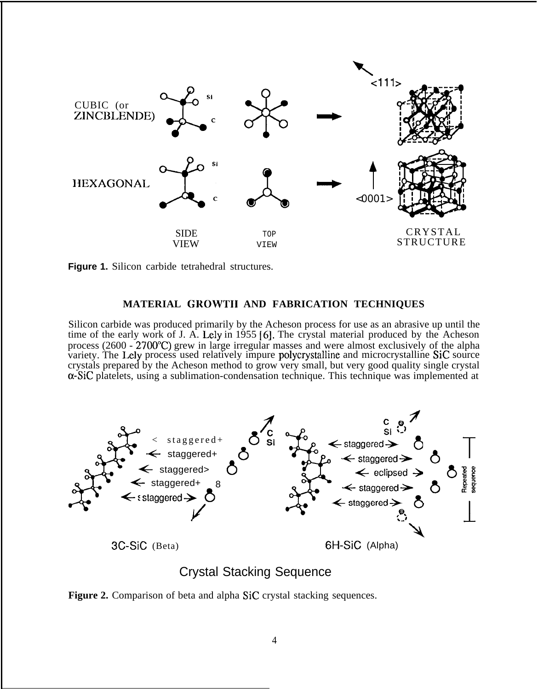



## **MATERIAL GROWTII AND FABRICATION TECHNIQUES**

Silicon carbide was produced primarily by the Acheson process for use as an abrasive up until the time of the early work of J. A. Lely in 1955 [6]. The crystal material produced by the Acheson process ( $2600 - 2700^{\circ}$ C) grew in large irregular masses and were almost exclusively of the alpha variety. The Lely process used relatively impure polycrystalline and microcrystalline SiC source crystals prepared by the Acheson method to grow very small, but very good quality single crystal  $\alpha$ -SiC platelets, using a sublimation-condensation technique. This technique was implemented at



## Crystal Stacking Sequence

Figure 2. Comparison of beta and alpha SiC crystal stacking sequences.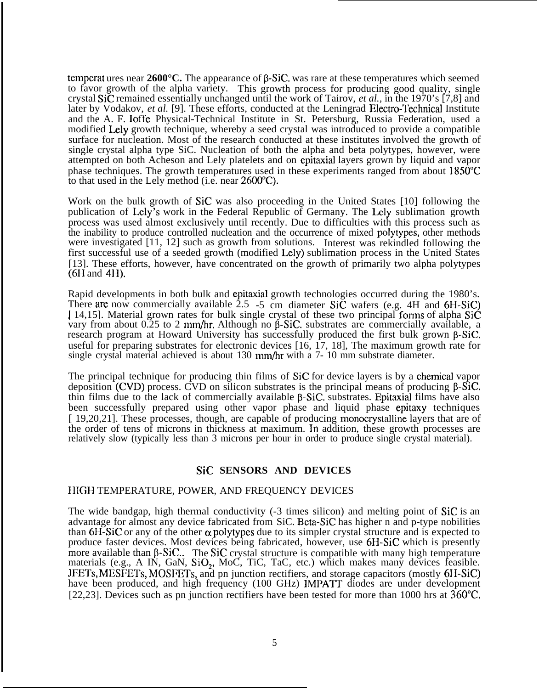temperat ures near  $2600^{\circ}$ C. The appearance of  $\beta$ -SiC. was rare at these temperatures which seemed to favor growth of the alpha variety. This growth process for producing good quality, single crystal SiC remained essentially unchanged until the work of Tairov, *et al.,* in the 1970's [7,8] and later by Vodakov, *et al.* [9]. These efforts, conducted at the Leningrad Electro-Technical Institute and the A. F. loffe Physical-Technical Institute in St. Petersburg, Russia Federation, used a modified Lely growth technique, whereby a seed crystal was introduced to provide a compatible surface for nucleation. Most of the research conducted at these institutes involved the growth of single crystal alpha type SiC. Nucleation of both the alpha and beta polytypes, however, were attempted on both Acheson and Lely platelets and on epitaxial layers grown by liquid and vapor phase techniques. The growth temperatures used in these experiments ranged from about  $1850^{\circ}$ C to that used in the Lely method (i.e. near  $2600^{\circ}$ C).

Work on the bulk growth of SiC was also proceeding in the United States [10] following the publication of Lely's work in the Federal Republic of Germany. The Lely sublimation growth process was used almost exclusively until recently. Due to difficulties with this process such as the inability to produce controlled nucleation and the occurrence of mixed polytypes, other methods were investigated [11, 12] such as growth from solutions. Interest was rekindled following the first successful use of a seeded growth (modified Lcly) sublimation process in the United States [13]. These efforts, however, have concentrated on the growth of primarily two alpha polytypes (6H and 4H).

Rapid developments in both bulk and epitaxial growth technologies occurred during the 1980's. There are now commercially available  $2.5$  -5 cm diameter SiC wafers (e.g. 4H and 6H-SiC) [14,15]. Material grown rates for bulk single crystal of these two principal forms of alpha SiC vary from about  $0.25$  to 2 mm/hr. Although no  $\beta$ -SiC. substrates are commercially available, a research program at Howard University has successfully produced the first bulk grown  $\beta$ -SiC. useful for preparing substrates for electronic devices [16, 17, 18], The maximum growth rate for single crystal material achieved is about 130 mm/hr with a 7- 10 mm substrate diameter.

The principal technique for producing thin films of SiC for device layers is by a chemical vapor deposition  $(CVD)$  process. CVD on silicon substrates is the principal means of producing  $\beta$ -SiC. thin films due to the lack of commercially available  $\beta$ -SiC. substrates. Epitaxial films have also been successfully prepared using other vapor phase and liquid phase epitaxy techniques [ 19,20,21]. These processes, though, are capable of producing monocrystalline layers that are of the order of tens of microns in thickness at maximum. In addition, these growth processes are relatively slow (typically less than 3 microns per hour in order to produce single crystal material).

## **SiC SENSORS AND DEVICES**

#### IIIGII TEMPERATURE, POWER, AND FREQUENCY DEVICES

The wide bandgap, high thermal conductivity (-3 times silicon) and melting point of SiC is an advantage for almost any device fabricated from SiC. Beta-SiC has higher n and p-type nobilities than  $6H-SiC$  or any of the other  $\alpha$  polytypes due to its simpler crystal structure and is expected to produce faster devices. Most devices being fabricated, however, use 6H-SiC which is presently more available than  $\beta$ -SiC.. The SiC crystal structure is compatible with many high temperature materials (e.g., A IN, GaN,  $SiO<sub>2</sub>$ , MoC, TiC, TaC, etc.) which makes many devices feasible. JFETs, MESFETs, MOSFETS, and pn junction rectifiers, and storage capacitors (mostly 6H-SiC) have been produced, and high frequency (100 GHz) IMPATT diodes are under development [22,23]. Devices such as pn junction rectifiers have been tested for more than 1000 hrs at 360"C.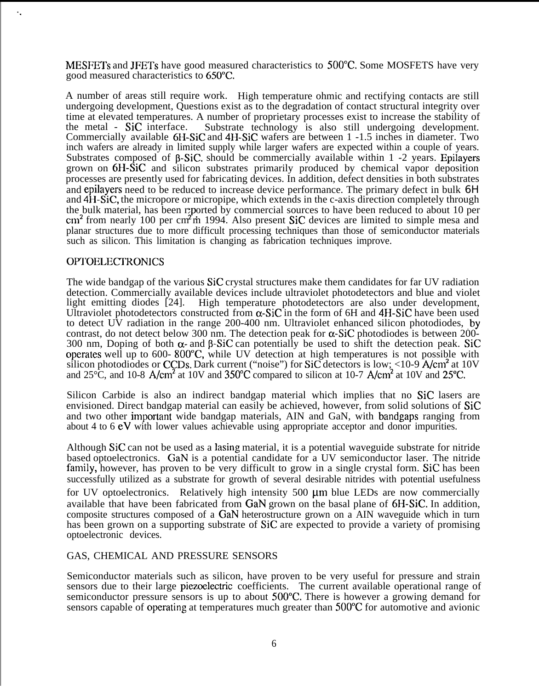MESFETS and JFETs have good measured characteristics to 500°C. Some MOSFETS have very good measured characteristics to 650°C.

A number of areas still require work. High temperature ohmic and rectifying contacts are still undergoing development, Questions exist as to the degradation of contact structural integrity over time at elevated temperatures. A number of proprietary processes exist to increase the stability of the metal - SiC interface. Substrate technology is also still undergoing development. Substrate technology is also still undergoing development. Commercially available 6H-SiC and 4H-SiC wafers are between 1 -1.5 inches in diameter. Two inch wafers are already in limited supply while larger wafers are expected within a couple of years. Substrates composed of  $\beta$ -SiC. should be commercially available within 1 -2 years. Epilayers grown on 6H-SiC and silicon substrates primarily produced by chemical vapor deposition processes are presently used for fabricating devices. In addition, defect densities in both substrates and epilayers need to be reduced to increase device performance. The primary defect in bulk 6H and 4H-SiC, the micropore or micropipe, which extends in the c-axis direction completely through the bulk material, has been reported by commercial sources to have been reduced to about 10 per  $\text{cm}^2$  from nearly 100 per  $\text{cm}^2$ m 1994. Also present SiC devices are limited to simple mesa and planar structures due to more difficult processing techniques than those of semiconductor materials such as silicon. This limitation is changing as fabrication techniques improve.

## **OPTOELECTRONICS**

. .

The wide bandgap of the various SiC crystal structures make them candidates for far UV radiation detection. Commercially available devices include ultraviolet photodetectors and blue and violet light emitting diodes [24]. High temperature photodetectors are also under development, Ultraviolet photodetectors constructed from  $\alpha$ -SiC in the form of 6H and 4H-SiC have been used to detect  $\overrightarrow{UV}$  radiation in the range 200-400 nm. Ultraviolet enhanced silicon photodiodes, by contrast, do not detect below 300 nm. The detection peak for  $\alpha$ -SiC photodiodes is between 200-300 nm, Doping of both  $\alpha$ - and  $\beta$ -SiC can potentially be used to shift the detection peak. SiC operates well up to 600-800°C, while UV detection at high temperatures is not possible with silicon photodiodes or CCDs. Dark current ("noise") for  $Si\tilde{C}$  detectors is low; <10-9  $A/cm<sup>2</sup>$  at 10V and  $25^{\circ}$ C, and 10-8 A/cm<sup>2</sup> at 10V and  $350^{\circ}$ C compared to silicon at 10-7 A/cm<sup>2</sup> at 10V and 25 $^{\circ}$ C.

Silicon Carbide is also an indirect bandgap material which implies that no SiC lasers are envisioned. Direct bandgap material can easily be achieved, however, from solid solutions of SiC and two other imporlant wide bandgap materials, AIN and GaN, with bandgaps ranging from about 4 to 6 eV with lower values achievable using appropriate acceptor and donor impurities.

Although SiC can not be used as a lasing material, it is a potential waveguide substrate for nitride based optoelectronics. GaN is a potential candidate for a UV semiconductor laser. The nitride family, however, has proven to be very difficult to grow in a single crystal form. SiC has been successfully utilized as a substrate for growth of several desirable nitrides with potential usefulness for UV optoelectronics. Relatively high intensity  $500 \mu m$  blue LEDs are now commercially available that have been fabricated from GaN grown on the basal plane of 6H-SiC. In addition, composite structures composed of a GaN heterostructure grown on a AIN waveguide which in turn has been grown on a supporting substrate of SiC are expected to provide a variety of promising optoelectronic devices.

#### GAS, CHEMICAL AND PRESSURE SENSORS

Semiconductor materials such as silicon, have proven to be very useful for pressure and strain sensors due to their large piezoelectric coefficients. The current available operational range of semiconductor pressure sensors is up to about 500"C. There is however a growing demand for sensors capable of operating at temperatures much greater than 500°C for automotive and avionic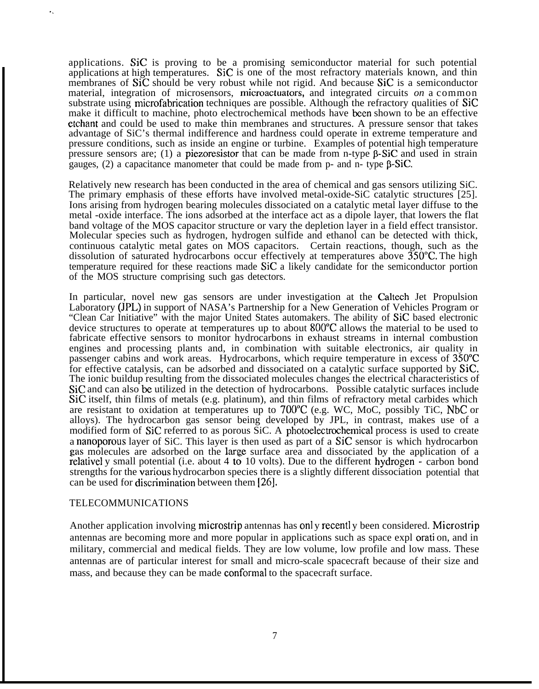applications. SiC is proving to be a promising semiconductor material for such potential applications at high temperatures. SiC is one of the most refractory materials known, and thin membranes of SiC should be very robust while not rigid. And because SiC is a semiconductor material, integration of microsensors, microactuators, and integrated circuits *on* a common substrate using microfabrication techniques are possible. Although the refractory qualities of SiC make it difficult to machine, photo electrochemical methods have hen shown to be an effective etchant and could be used to make thin membranes and structures. A pressure sensor that takes advantage of SiC's thermal indifference and hardness could operate in extreme temperature and pressure conditions, such as inside an engine or turbine. Examples of potential high temperature pressure sensors are; (1) a piezoresistor that can be made from n-type  $\beta$ -SiC and used in strain gauges,  $(2)$  a capacitance manometer that could be made from p- and n- type  $\beta$ -SiC.

Relatively new research has been conducted in the area of chemical and gas sensors utilizing SiC. The primary emphasis of these efforts have involved metal-oxide-SiC catalytic structures [25]. Ions arising from hydrogen bearing molecules dissociated on a catalytic metal layer diffuse to the metal -oxide interface. The ions adsorbed at the interface act as a dipole layer, that lowers the flat band voltage of the MOS capacitor structure or vary the depletion layer in a field effect transistor. Molecular species such as hydrogen, hydrogen sulfide and ethanol can be detected with thick, continuous catalytic metal gates on MOS capacitors. Certain reactions, though, such as the dissolution of saturated hydrocarbons occur effectively at temperatures above  $350^{\circ}$ C. The high temperature required for these reactions made SiC a likely candidate for the semiconductor portion of the MOS structure comprising such gas detectors.

In particular, novel new gas sensors are under investigation at the Caltech Jet Propulsion Laboratory (JPL) in support of NASA's Partnership for a New Generation of Vehicles Program or "Clean Car Initiative" with the major United States automakers. The ability of SiC based electronic device structures to operate at temperatures up to about 800"C allows the material to be used to fabricate effective sensors to monitor hydrocarbons in exhaust streams in internal combustion engines and processing plants and, in combination with suitable electronics, air quality in passenger cabins and work areas. Hydrocarbons, which require temperature in excess of 350'C for effective catalysis, can be adsorbed and dissociated on a catalytic surface supported by SiC. The ionic buildup resulting from the dissociated molecules changes the electrical characteristics of SiC and can also be utilized in the detection of hydrocarbons. Possible catalytic surfaces include SiC itself, thin films of metals (e.g. platinum), and thin films of refractory metal carbides which are resistant to oxidation at temperatures up to  $700^{\circ}C$  (e.g. WC, MoC, possibly TiC, NbC or alloys). The hydrocarbon gas sensor being developed by JPL, in contrast, makes use of a modified form of SiC referred to as porous SiC. A photoelectrochemical process is used to create a nanoporous layer of SiC. This layer is then used as part of a SiC sensor is which hydrocarbon Ras molecules are adsorbed on the large surface area and dissociated by the application of a fus molecules are also been on the harge sarrace area and dissociated by the appreciation of a relatively small potential (i.e. about 4 to 10 volts). Due to the different hydrogen - carbon bond strengths for the various hydrocarbon species there is a slightly different dissociation potential that can be used for discrimination between them  $[26]$ .

#### TELECOMMUNICATIONS

. .

Another application involving microstrip antennas has onl y recentl y been considered. Microstrip antennas are becoming more and more popular in applications such as space expl orati on, and in military, commercial and medical fields. They are low volume, low profile and low mass. These antennas are of particular interest for small and micro-scale spacecraft because of their size and mass, and because they can be made conformal to the spacecraft surface.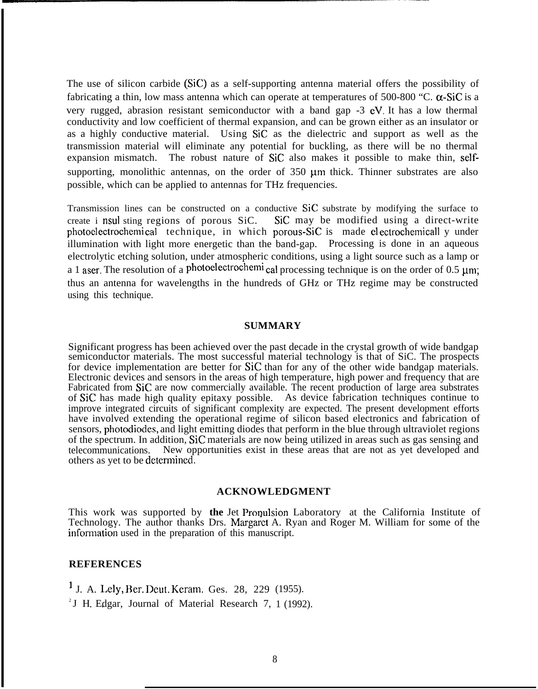The use of silicon carbide (SiC) as a self-supporting antenna material offers the possibility of fabricating a thin, low mass antenna which can operate at temperatures of 500-800 "C.  $\alpha$ -SiC is a very rugged, abrasion resistant semiconductor with a band gap -3 eV. It has a low thermal conductivity and low coefficient of thermal expansion, and can be grown either as an insulator or as a highly conductive material. Using SiC as the dielectric and support as well as the transmission material will eliminate any potential for buckling, as there will be no thermal expansion mismatch. The robust nature of SiC also makes it possible to make thin, selfsupporting, monolithic antennas, on the order of  $350 \mu m$  thick. Thinner substrates are also possible, which can be applied to antennas for THz frequencies.

Transmission lines can be constructed on a conductive SiC substrate by modifying the surface to create i nsul sting regions of porous SiC. SiC may be modified using a direct-write photoelectrochemical technique, in which porous-SiC is made electrochemicall y under illumination with light more energetic than the band-gap. Processing is done in an aqueous electrolytic etching solution, under atmospheric conditions, using a light source such as a lamp or a 1 aser. The resolution of a photoelectrochemi cal processing technique is on the order of 0.5  $\mu$ m; thus an antenna for wavelengths in the hundreds of GHz or THz regime may be constructed using this technique.

#### **SUMMARY**

Significant progress has been achieved over the past decade in the crystal growth of wide bandgap semiconductor materials. The most successful material technology is that of SiC. The prospects for device implementation are better for SiC than for any of the other wide bandgap materials. Electronic devices and sensors in the areas of high temperature, high power and frequency that are Fabricated from SiC are now commercially available. The recent production of large area substrates of SiC has made high quality epitaxy possible. As device fabrication techniques continue to improve integrated circuits of significant complexity are expected. The present development efforts have involved extending the operational regime of silicon based electronics and fabrication of sensors, photodiodes, and light emitting diodes that perform in the blue through ultraviolet regions of the spectrum. In addition, SiC materials are now being utilized in areas such as gas sensing and telecommunications. New opportunities exist in these areas that are not as yet developed and others as yet to be determined.

## **ACKNOWLEDGMENT**

This work was supported by the Jet Propulsion Laboratory at the California Institute of Technology. The author thanks Drs. Margaret A. Ryan and Roger M. William for some of the information used in the preparation of this manuscript.

## **REFERENCES**

1 J. A. Lely, Ber. Dcut. Keram. Ges. 28, 229 (1955).

<sup>2</sup> J H. Edgar, Journal of Material Research 7, 1 (1992).